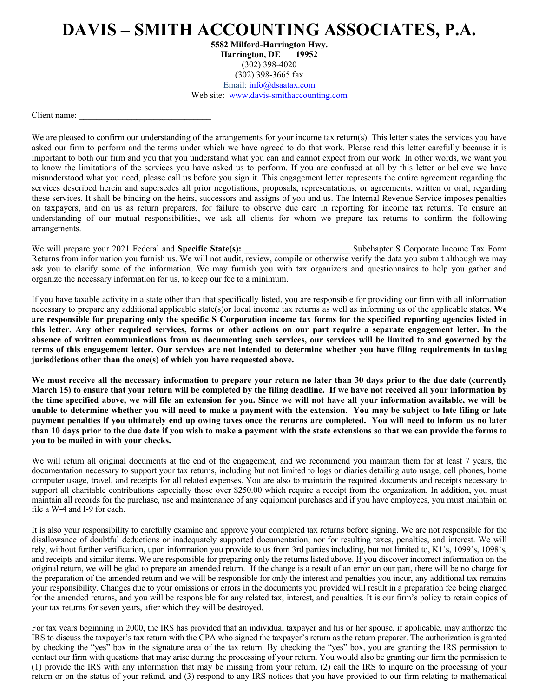## **DAVIS – SMITH ACCOUNTING ASSOCIATES, P.A.**

**5582 Milford-Harrington Hwy. Harrington, DE 19952**  (302) 398-4020 (302) 398-3665 fax Email: info@dsaatax.com Web site: www.davis-smithaccounting.com

Client name:

We are pleased to confirm our understanding of the arrangements for your income tax return(s). This letter states the services you have asked our firm to perform and the terms under which we have agreed to do that work. Please read this letter carefully because it is important to both our firm and you that you understand what you can and cannot expect from our work. In other words, we want you to know the limitations of the services you have asked us to perform. If you are confused at all by this letter or believe we have misunderstood what you need, please call us before you sign it. This engagement letter represents the entire agreement regarding the services described herein and supersedes all prior negotiations, proposals, representations, or agreements, written or oral, regarding these services. It shall be binding on the heirs, successors and assigns of you and us. The Internal Revenue Service imposes penalties on taxpayers, and on us as return preparers, for failure to observe due care in reporting for income tax returns. To ensure an understanding of our mutual responsibilities, we ask all clients for whom we prepare tax returns to confirm the following arrangements.

We will prepare your 2021 Federal and **Specific State(s): \_\_\_\_\_\_\_\_\_\_\_\_\_\_\_\_\_\_\_\_\_** Subchapter S Corporate Income Tax Form Returns from information you furnish us. We will not audit, review, compile or otherwise verify the data you submit although we may ask you to clarify some of the information. We may furnish you with tax organizers and questionnaires to help you gather and organize the necessary information for us, to keep our fee to a minimum.

If you have taxable activity in a state other than that specifically listed, you are responsible for providing our firm with all information necessary to prepare any additional applicable state(s)or local income tax returns as well as informing us of the applicable states. **We are responsible for preparing only the specific S Corporation income tax forms for the specified reporting agencies listed in this letter. Any other required services, forms or other actions on our part require a separate engagement letter. In the absence of written communications from us documenting such services, our services will be limited to and governed by the terms of this engagement letter. Our services are not intended to determine whether you have filing requirements in taxing jurisdictions other than the one(s) of which you have requested above.** 

**We must receive all the necessary information to prepare your return no later than 30 days prior to the due date (currently March 15) to ensure that your return will be completed by the filing deadline. If we have not received all your information by the time specified above, we will file an extension for you. Since we will not have all your information available, we will be unable to determine whether you will need to make a payment with the extension. You may be subject to late filing or late payment penalties if you ultimately end up owing taxes once the returns are completed. You will need to inform us no later than 10 days prior to the due date if you wish to make a payment with the state extensions so that we can provide the forms to you to be mailed in with your checks.**

We will return all original documents at the end of the engagement, and we recommend you maintain them for at least 7 years, the documentation necessary to support your tax returns, including but not limited to logs or diaries detailing auto usage, cell phones, home computer usage, travel, and receipts for all related expenses. You are also to maintain the required documents and receipts necessary to support all charitable contributions especially those over \$250.00 which require a receipt from the organization. In addition, you must maintain all records for the purchase, use and maintenance of any equipment purchases and if you have employees, you must maintain on file a W-4 and I-9 for each.

It is also your responsibility to carefully examine and approve your completed tax returns before signing. We are not responsible for the disallowance of doubtful deductions or inadequately supported documentation, nor for resulting taxes, penalties, and interest. We will rely, without further verification, upon information you provide to us from 3rd parties including, but not limited to, K1's, 1099's, 1098's, and receipts and similar items. We are responsible for preparing only the returns listed above. If you discover incorrect information on the original return, we will be glad to prepare an amended return. If the change is a result of an error on our part, there will be no charge for the preparation of the amended return and we will be responsible for only the interest and penalties you incur, any additional tax remains your responsibility. Changes due to your omissions or errors in the documents you provided will result in a preparation fee being charged for the amended returns, and you will be responsible for any related tax, interest, and penalties. It is our firm's policy to retain copies of your tax returns for seven years, after which they will be destroyed.

For tax years beginning in 2000, the IRS has provided that an individual taxpayer and his or her spouse, if applicable, may authorize the IRS to discuss the taxpayer's tax return with the CPA who signed the taxpayer's return as the return preparer. The authorization is granted by checking the "yes" box in the signature area of the tax return. By checking the "yes" box, you are granting the IRS permission to contact our firm with questions that may arise during the processing of your return. You would also be granting our firm the permission to (1) provide the IRS with any information that may be missing from your return, (2) call the IRS to inquire on the processing of your return or on the status of your refund, and (3) respond to any IRS notices that you have provided to our firm relating to mathematical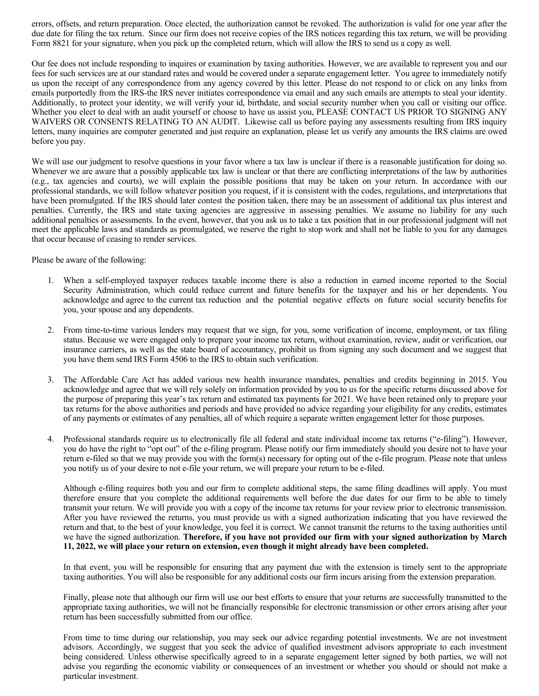errors, offsets, and return preparation. Once elected, the authorization cannot be revoked. The authorization is valid for one year after the due date for filing the tax return. Since our firm does not receive copies of the IRS notices regarding this tax return, we will be providing Form 8821 for your signature, when you pick up the completed return, which will allow the IRS to send us a copy as well.

Our fee does not include responding to inquires or examination by taxing authorities. However, we are available to represent you and our fees for such services are at our standard rates and would be covered under a separate engagement letter. You agree to immediately notify us upon the receipt of any correspondence from any agency covered by this letter. Please do not respond to or click on any links from emails purportedly from the IRS-the IRS never initiates correspondence via email and any such emails are attempts to steal your identity. Additionally, to protect your identity, we will verify your id, birthdate, and social security number when you call or visiting our office. Whether you elect to deal with an audit yourself or choose to have us assist you, PLEASE CONTACT US PRIOR TO SIGNING ANY WAIVERS OR CONSENTS RELATING TO AN AUDIT. Likewise call us before paying any assessments resulting from IRS inquiry letters, many inquiries are computer generated and just require an explanation, please let us verify any amounts the IRS claims are owed before you pay.

We will use our judgment to resolve questions in your favor where a tax law is unclear if there is a reasonable justification for doing so. Whenever we are aware that a possibly applicable tax law is unclear or that there are conflicting interpretations of the law by authorities (e.g., tax agencies and courts), we will explain the possible positions that may be taken on your return. In accordance with our professional standards, we will follow whatever position you request, if it is consistent with the codes, regulations, and interpretations that have been promulgated. If the IRS should later contest the position taken, there may be an assessment of additional tax plus interest and penalties. Currently, the IRS and state taxing agencies are aggressive in assessing penalties. We assume no liability for any such additional penalties or assessments. In the event, however, that you ask us to take a tax position that in our professional judgment will not meet the applicable laws and standards as promulgated, we reserve the right to stop work and shall not be liable to you for any damages that occur because of ceasing to render services.

Please be aware of the following:

- 1. When a self-employed taxpayer reduces taxable income there is also a reduction in earned income reported to the Social Security Administration, which could reduce current and future benefits for the taxpayer and his or her dependents. You acknowledge and agree to the current tax reduction and the potential negative effects on future social security benefits for you, your spouse and any dependents.
- 2. From time-to-time various lenders may request that we sign, for you, some verification of income, employment, or tax filing status. Because we were engaged only to prepare your income tax return, without examination, review, audit or verification, our insurance carriers, as well as the state board of accountancy, prohibit us from signing any such document and we suggest that you have them send IRS Form 4506 to the IRS to obtain such verification.
- 3. The Affordable Care Act has added various new health insurance mandates, penalties and credits beginning in 2015. You acknowledge and agree that we will rely solely on information provided by you to us for the specific returns discussed above for the purpose of preparing this year's tax return and estimated tax payments for 2021. We have been retained only to prepare your tax returns for the above authorities and periods and have provided no advice regarding your eligibility for any credits, estimates of any payments or estimates of any penalties, all of which require a separate written engagement letter for those purposes.
- 4. Professional standards require us to electronically file all federal and state individual income tax returns ("e-filing"). However, you do have the right to "opt out" of the e-filing program. Please notify our firm immediately should you desire not to have your return e-filed so that we may provide you with the form(s) necessary for opting out of the e-file program. Please note that unless you notify us of your desire to not e-file your return, we will prepare your return to be e-filed.

Although e-filing requires both you and our firm to complete additional steps, the same filing deadlines will apply. You must therefore ensure that you complete the additional requirements well before the due dates for our firm to be able to timely transmit your return. We will provide you with a copy of the income tax returns for your review prior to electronic transmission. After you have reviewed the returns, you must provide us with a signed authorization indicating that you have reviewed the return and that, to the best of your knowledge, you feel it is correct. We cannot transmit the returns to the taxing authorities until we have the signed authorization. **Therefore, if you have not provided our firm with your signed authorization by March 11, 2022, we will place your return on extension, even though it might already have been completed.** 

In that event, you will be responsible for ensuring that any payment due with the extension is timely sent to the appropriate taxing authorities. You will also be responsible for any additional costs our firm incurs arising from the extension preparation.

Finally, please note that although our firm will use our best efforts to ensure that your returns are successfully transmitted to the appropriate taxing authorities, we will not be financially responsible for electronic transmission or other errors arising after your return has been successfully submitted from our office.

From time to time during our relationship, you may seek our advice regarding potential investments. We are not investment advisors. Accordingly, we suggest that you seek the advice of qualified investment advisors appropriate to each investment being considered. Unless otherwise specifically agreed to in a separate engagement letter signed by both parties, we will not advise you regarding the economic viability or consequences of an investment or whether you should or should not make a particular investment.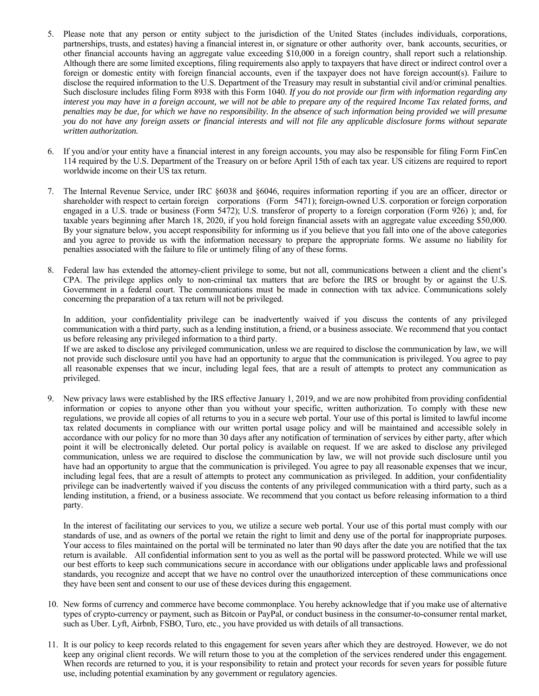- 5. Please note that any person or entity subject to the jurisdiction of the United States (includes individuals, corporations, partnerships, trusts, and estates) having a financial interest in, or signature or other authority over, bank accounts, securities, or other financial accounts having an aggregate value exceeding \$10,000 in a foreign country, shall report such a relationship. Although there are some limited exceptions, filing requirements also apply to taxpayers that have direct or indirect control over a foreign or domestic entity with foreign financial accounts, even if the taxpayer does not have foreign account(s). Failure to disclose the required information to the U.S. Department of the Treasury may result in substantial civil and/or criminal penalties. Such disclosure includes filing Form 8938 with this Form 1040. *If you do not provide our firm with information regarding any interest you may have in a foreign account, we will not be able to prepare any of the required Income Tax related forms, and penalties may be due, for which we have no responsibility. In the absence of such information being provided we will presume you do not have any foreign assets or financial interests and will not file any applicable disclosure forms without separate written authorization.*
- 6. If you and/or your entity have a financial interest in any foreign accounts, you may also be responsible for filing Form FinCen 114 required by the U.S. Department of the Treasury on or before April 15th of each tax year. US citizens are required to report worldwide income on their US tax return.
- 7. The Internal Revenue Service, under IRC §6038 and §6046, requires information reporting if you are an officer, director or shareholder with respect to certain foreign corporations (Form 5471); foreign-owned U.S. corporation or foreign corporation engaged in a U.S. trade or business (Form 5472); U.S. transferor of property to a foreign corporation (Form 926) ); and, for taxable years beginning after March 18, 2020, if you hold foreign financial assets with an aggregate value exceeding \$50,000. By your signature below, you accept responsibility for informing us if you believe that you fall into one of the above categories and you agree to provide us with the information necessary to prepare the appropriate forms. We assume no liability for penalties associated with the failure to file or untimely filing of any of these forms.
- 8. Federal law has extended the attorney-client privilege to some, but not all, communications between a client and the client's CPA. The privilege applies only to non-criminal tax matters that are before the IRS or brought by or against the U.S. Government in a federal court. The communications must be made in connection with tax advice. Communications solely concerning the preparation of a tax return will not be privileged.

In addition, your confidentiality privilege can be inadvertently waived if you discuss the contents of any privileged communication with a third party, such as a lending institution, a friend, or a business associate. We recommend that you contact us before releasing any privileged information to a third party.

If we are asked to disclose any privileged communication, unless we are required to disclose the communication by law, we will not provide such disclosure until you have had an opportunity to argue that the communication is privileged. You agree to pay all reasonable expenses that we incur, including legal fees, that are a result of attempts to protect any communication as privileged.

9. New privacy laws were established by the IRS effective January 1, 2019, and we are now prohibited from providing confidential information or copies to anyone other than you without your specific, written authorization. To comply with these new regulations, we provide all copies of all returns to you in a secure web portal. Your use of this portal is limited to lawful income tax related documents in compliance with our written portal usage policy and will be maintained and accessible solely in accordance with our policy for no more than 30 days after any notification of termination of services by either party, after which point it will be electronically deleted. Our portal policy is available on request. If we are asked to disclose any privileged communication, unless we are required to disclose the communication by law, we will not provide such disclosure until you have had an opportunity to argue that the communication is privileged. You agree to pay all reasonable expenses that we incur, including legal fees, that are a result of attempts to protect any communication as privileged. In addition, your confidentiality privilege can be inadvertently waived if you discuss the contents of any privileged communication with a third party, such as a lending institution, a friend, or a business associate. We recommend that you contact us before releasing information to a third party.

In the interest of facilitating our services to you, we utilize a secure web portal. Your use of this portal must comply with our standards of use, and as owners of the portal we retain the right to limit and deny use of the portal for inappropriate purposes. Your access to files maintained on the portal will be terminated no later than 90 days after the date you are notified that the tax return is available. All confidential information sent to you as well as the portal will be password protected. While we will use our best efforts to keep such communications secure in accordance with our obligations under applicable laws and professional standards, you recognize and accept that we have no control over the unauthorized interception of these communications once they have been sent and consent to our use of these devices during this engagement.

- 10. New forms of currency and commerce have become commonplace. You hereby acknowledge that if you make use of alternative types of crypto-currency or payment, such as Bitcoin or PayPal, or conduct business in the consumer-to-consumer rental market, such as Uber. Lyft, Airbnb, FSBO, Turo, etc., you have provided us with details of all transactions.
- 11. It is our policy to keep records related to this engagement for seven years after which they are destroyed. However, we do not keep any original client records. We will return those to you at the completion of the services rendered under this engagement. When records are returned to you, it is your responsibility to retain and protect your records for seven years for possible future use, including potential examination by any government or regulatory agencies.